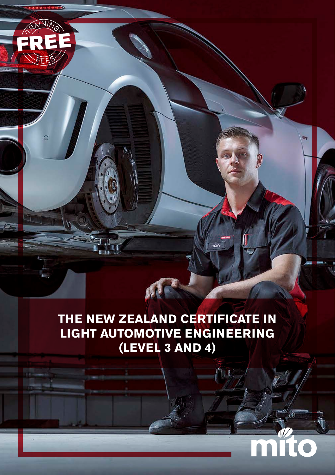# **THE NEW ZEALAND CERTIFICATE IN LIGHT AUTOMOTIVE ENGINEERING (LEVEL 3 AND 4)**

 $11.1$ 

AF

 $\circ$ 

T

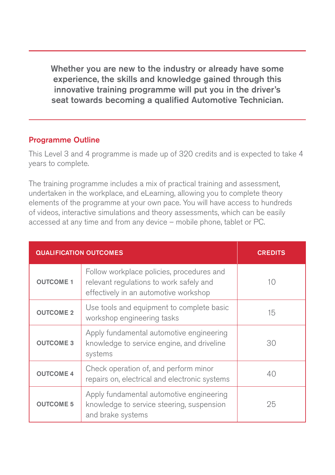Whether you are new to the industry or already have some experience, the skills and knowledge gained through this innovative training programme will put you in the driver's seat towards becoming a qualified Automotive Technician.

#### Programme Outline

This Level 3 and 4 programme is made up of 320 credits and is expected to take 4 years to complete.

The training programme includes a mix of practical training and assessment, undertaken in the workplace, and eLearning, allowing you to complete theory elements of the programme at your own pace. You will have access to hundreds of videos, interactive simulations and theory assessments, which can be easily accessed at any time and from any device – mobile phone, tablet or PC.

| <b>QUALIFICATION OUTCOMES</b> |                                                                                                                               | <b>CREDITS</b> |
|-------------------------------|-------------------------------------------------------------------------------------------------------------------------------|----------------|
| <b>OUTCOME 1</b>              | Follow workplace policies, procedures and<br>relevant regulations to work safely and<br>effectively in an automotive workshop | 10             |
| <b>OUTCOME 2</b>              | Use tools and equipment to complete basic<br>workshop engineering tasks                                                       | 15             |
| <b>OUTCOME 3</b>              | Apply fundamental automotive engineering<br>knowledge to service engine, and driveline<br>systems                             | 30             |
| <b>OUTCOME 4</b>              | Check operation of, and perform minor<br>repairs on, electrical and electronic systems                                        | 40             |
| <b>OUTCOME 5</b>              | Apply fundamental automotive engineering<br>knowledge to service steering, suspension<br>and brake systems                    | 25             |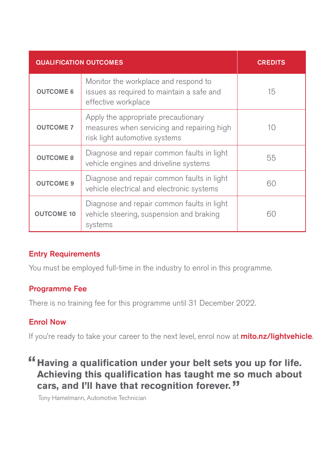| <b>QUALIFICATION OUTCOMES</b> |                                                                                                                    | <b>CREDITS</b> |
|-------------------------------|--------------------------------------------------------------------------------------------------------------------|----------------|
| <b>OUTCOME 6</b>              | Monitor the workplace and respond to<br>issues as required to maintain a safe and<br>effective workplace           | 15             |
| <b>OUTCOME 7</b>              | Apply the appropriate precautionary<br>measures when servicing and repairing high<br>risk light automotive systems | 10             |
| <b>OUTCOME 8</b>              | Diagnose and repair common faults in light<br>vehicle engines and driveline systems                                | 55             |
| <b>OUTCOME 9</b>              | Diagnose and repair common faults in light<br>vehicle electrical and electronic systems                            | 60             |
| <b>OUTCOME 10</b>             | Diagnose and repair common faults in light<br>vehicle steering, suspension and braking<br>systems                  | 60             |

### Entry Requirements

You must be employed full-time in the industry to enrol in this programme.

#### Programme Fee

There is no training fee for this programme until 31 December 2022.

#### Enrol Now

If you're ready to take your career to the next level, enrol now at **mito.nz/lightvehicle**.

## **Having a qualification under your belt sets you up for life. Achieving this qualification has taught me so much about cars, and I'll have that recognition forever.**

Tony Hamelmann, Automotive Technician